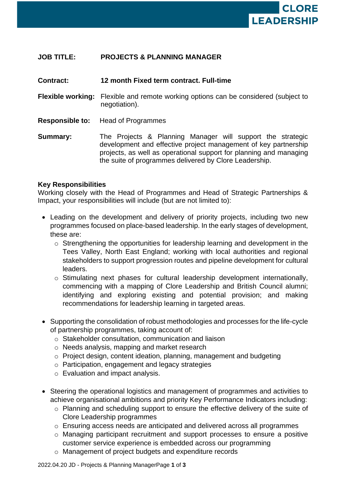

# **JOB TITLE: PROJECTS & PLANNING MANAGER**

#### **Contract: 12 month Fixed term contract. Full-time**

- **Flexible working:** Flexible and remote working options can be considered (subject to negotiation).
- **Responsible to:** Head of Programmes
- **Summary:** The Projects & Planning Manager will support the strategic development and effective project management of key partnership projects, as well as operational support for planning and managing the suite of programmes delivered by Clore Leadership.

#### **Key Responsibilities**

Working closely with the Head of Programmes and Head of Strategic Partnerships & Impact, your responsibilities will include (but are not limited to):

- Leading on the development and delivery of priority projects, including two new programmes focused on place-based leadership. In the early stages of development, these are:
	- o Strengthening the opportunities for leadership learning and development in the Tees Valley, North East England; working with local authorities and regional stakeholders to support progression routes and pipeline development for cultural leaders.
	- o Stimulating next phases for cultural leadership development internationally, commencing with a mapping of Clore Leadership and British Council alumni; identifying and exploring existing and potential provision; and making recommendations for leadership learning in targeted areas.
- Supporting the consolidation of robust methodologies and processes for the life-cycle of partnership programmes, taking account of:
	- o Stakeholder consultation, communication and liaison
	- o Needs analysis, mapping and market research
	- o Project design, content ideation, planning, management and budgeting
	- o Participation, engagement and legacy strategies
	- o Evaluation and impact analysis.
- Steering the operational logistics and management of programmes and activities to achieve organisational ambitions and priority Key Performance Indicators including:
	- o Planning and scheduling support to ensure the effective delivery of the suite of Clore Leadership programmes
	- o Ensuring access needs are anticipated and delivered across all programmes
	- o Managing participant recruitment and support processes to ensure a positive customer service experience is embedded across our programming
	- o Management of project budgets and expenditure records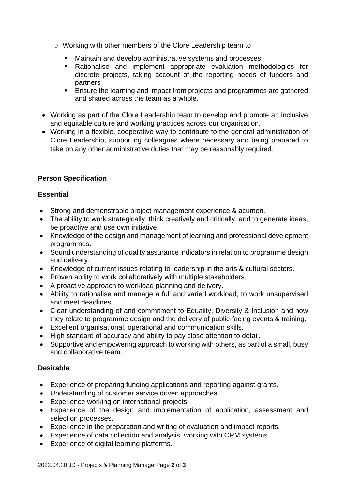- o Working with other members of the Clore Leadership team to
	- Maintain and develop administrative systems and processes
	- Rationalise and implement appropriate evaluation methodologies for discrete projects, taking account of the reporting needs of funders and partners
	- **Ensure the learning and impact from projects and programmes are gathered** and shared across the team as a whole.
- Working as part of the Clore Leadership team to develop and promote an inclusive and equitable culture and working practices across our organisation.
- Working in a flexible, cooperative way to contribute to the general administration of Clore Leadership, supporting colleagues where necessary and being prepared to take on any other administrative duties that may be reasonably required.

## **Person Specification**

## **Essential**

- Strong and demonstrable project management experience & acumen.
- The ability to work strategically, think creatively and critically, and to generate ideas, be proactive and use own initiative.
- Knowledge of the design and management of learning and professional development programmes.
- Sound understanding of quality assurance indicators in relation to programme design and delivery.
- Knowledge of current issues relating to leadership in the arts & cultural sectors.
- Proven ability to work collaboratively with multiple stakeholders.
- A proactive approach to workload planning and delivery.
- Ability to rationalise and manage a full and varied workload, to work unsupervised and meet deadlines.
- Clear understanding of and commitment to Equality, Diversity & Inclusion and how they relate to programme design and the delivery of public-facing events & training.
- Excellent organisational, operational and communication skills.
- High standard of accuracy and ability to pay close attention to detail.
- Supportive and empowering approach to working with others, as part of a small, busy and collaborative team.

## **Desirable**

- Experience of preparing funding applications and reporting against grants.
- Understanding of customer service driven approaches.
- Experience working on international projects.
- Experience of the design and implementation of application, assessment and selection processes.
- Experience in the preparation and writing of evaluation and impact reports.
- Experience of data collection and analysis, working with CRM systems.
- Experience of digital learning platforms.